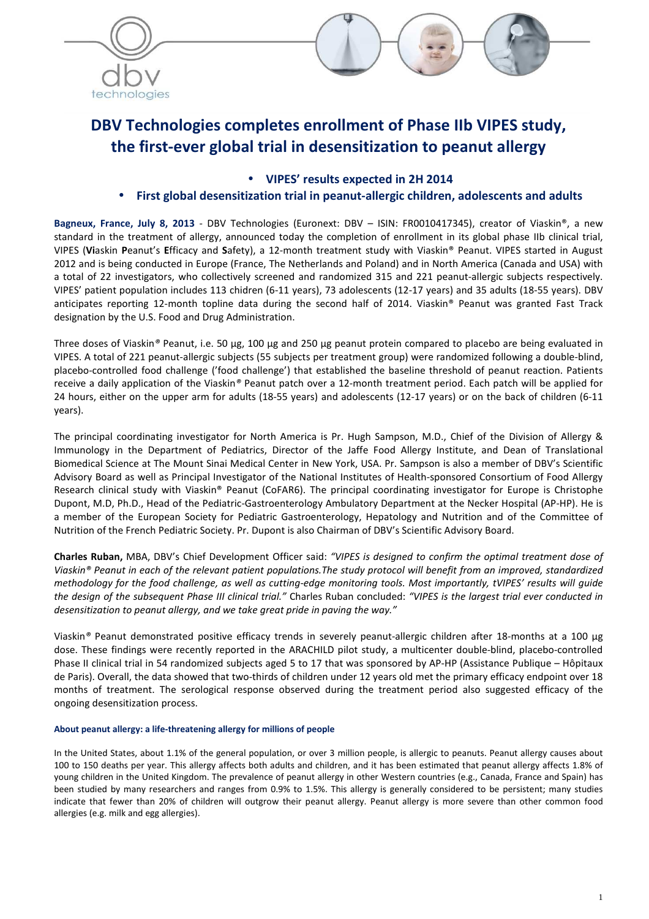



# **DBV Technologies completes enrollment of Phase IIb VIPES study, the first-ever global trial in desensitization to peanut allergy**

• **VIPES' results expected in 2H 2014** 

## • **First global desensitization trial in peanut-allergic children, adolescents and adults**

**Bagneux, France, July 8, 2013** - DBV Technologies (Euronext: DBV – ISIN: FR0010417345), creator of Viaskin®, a new standard in the treatment of allergy, announced today the completion of enrollment in its global phase IIb clinical trial, VIPES (**Vi**askin **P**eanut's **E**fficacy and **S**afety), a 12-month treatment study with Viaskin® Peanut. VIPES started in August 2012 and is being conducted in Europe (France, The Netherlands and Poland) and in North America (Canada and USA) with a total of 22 investigators, who collectively screened and randomized 315 and 221 peanut-allergic subjects respectively. VIPES' patient population includes 113 chidren (6-11 years), 73 adolescents (12-17 years) and 35 adults (18-55 years). DBV anticipates reporting 12-month topline data during the second half of 2014. Viaskin® Peanut was granted Fast Track designation by the U.S. Food and Drug Administration.

Three doses of Viaskin*®* Peanut, i.e. 50 µg, 100 µg and 250 µg peanut protein compared to placebo are being evaluated in VIPES. A total of 221 peanut-allergic subjects (55 subjects per treatment group) were randomized following a double-blind, placebo-controlled food challenge ('food challenge') that established the baseline threshold of peanut reaction. Patients receive a daily application of the Viaskin*®* Peanut patch over a 12-month treatment period. Each patch will be applied for 24 hours, either on the upper arm for adults (18-55 years) and adolescents (12-17 years) or on the back of children (6-11 years).

The principal coordinating investigator for North America is Pr. Hugh Sampson, M.D., Chief of the Division of Allergy & Immunology in the Department of Pediatrics, Director of the Jaffe Food Allergy Institute, and Dean of Translational Biomedical Science at The Mount Sinai Medical Center in New York, USA. Pr. Sampson is also a member of DBV's Scientific Advisory Board as well as Principal Investigator of the National Institutes of Health-sponsored Consortium of Food Allergy Research clinical study with Viaskin® Peanut (CoFAR6). The principal coordinating investigator for Europe is Christophe Dupont, M.D, Ph.D., Head of the Pediatric-Gastroenterology Ambulatory Department at the Necker Hospital (AP-HP). He is a member of the European Society for Pediatric Gastroenterology, Hepatology and Nutrition and of the Committee of Nutrition of the French Pediatric Society. Pr. Dupont is also Chairman of DBV's Scientific Advisory Board.

**Charles Ruban,** MBA, DBV's Chief Development Officer said: *"VIPES is designed to confirm the optimal treatment dose of Viaskin® Peanut in each of the relevant patient populations.The study protocol will benefit from an improved, standardized methodology for the food challenge, as well as cutting-edge monitoring tools. Most importantly, tVIPES' results will guide the design of the subsequent Phase III clinical trial."* Charles Ruban concluded: *"VIPES is the largest trial ever conducted in desensitization to peanut allergy, and we take great pride in paving the way."* 

Viaskin*®* Peanut demonstrated positive efficacy trends in severely peanut-allergic children after 18-months at a 100 µg dose. These findings were recently reported in the ARACHILD pilot study, a multicenter double-blind, placebo-controlled Phase II clinical trial in 54 randomized subjects aged 5 to 17 that was sponsored by AP-HP (Assistance Publique – Hôpitaux de Paris). Overall, the data showed that two-thirds of children under 12 years old met the primary efficacy endpoint over 18 months of treatment. The serological response observed during the treatment period also suggested efficacy of the ongoing desensitization process.

### **About peanut allergy: a life-threatening allergy for millions of people**

In the United States, about 1.1% of the general population, or over 3 million people, is allergic to peanuts. Peanut allergy causes about 100 to 150 deaths per year. This allergy affects both adults and children, and it has been estimated that peanut allergy affects 1.8% of young children in the United Kingdom. The prevalence of peanut allergy in other Western countries (e.g., Canada, France and Spain) has been studied by many researchers and ranges from 0.9% to 1.5%. This allergy is generally considered to be persistent; many studies indicate that fewer than 20% of children will outgrow their peanut allergy. Peanut allergy is more severe than other common food allergies (e.g. milk and egg allergies).